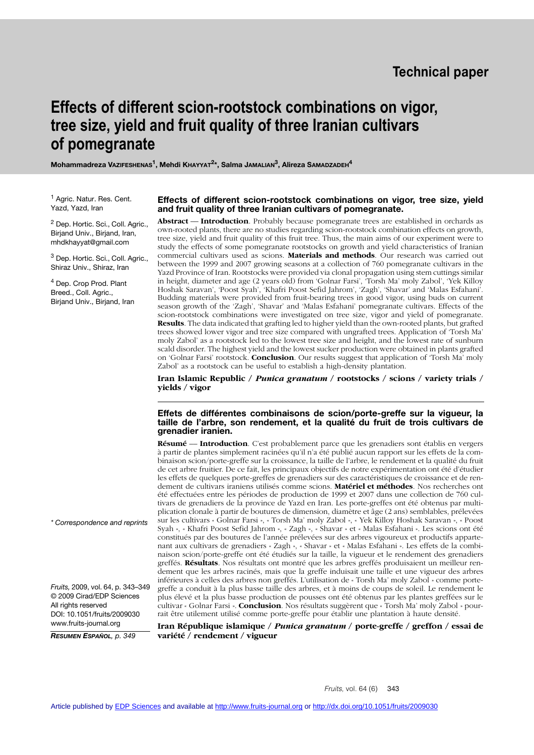# **Effects of different scion-rootstock combinations on vigor, tree size, yield and fruit quality of three Iranian cultivars of pomegranate**

**Mohammadreza VAZIFESHENAS1, Mehdi KHAYYAT2\*, Salma JAMALIAN3, Alireza SAMADZADEH4**

<sup>1</sup> Agric. Natur. Res. Cent. Yazd, Yazd, Iran

<sup>2</sup> Dep. Hortic. Sci., Coll. Agric., Birjand Univ., Birjand, Iran, mhdkhayyat@gmail.com

<sup>3</sup> Dep. Hortic. Sci., Coll. Agric., Shiraz Univ., Shiraz, Iran

<sup>4</sup> Dep. Crop Prod. Plant Breed., Coll. Agric., Birjand Univ., Birjand, Iran

#### **Effects of different scion-rootstock combinations on vigor, tree size, yield and fruit quality of three Iranian cultivars of pomegranate.**

**Abstract** –– **Introduction**. Probably because pomegranate trees are established in orchards as own-rooted plants, there are no studies regarding scion-rootstock combination effects on growth, tree size, yield and fruit quality of this fruit tree. Thus, the main aims of our experiment were to study the effects of some pomegranate rootstocks on growth and yield characteristics of Iranian commercial cultivars used as scions. **Materials and methods**. Our research was carried out between the 1999 and 2007 growing seasons at a collection of 760 pomegranate cultivars in the Yazd Province of Iran. Rootstocks were provided via clonal propagation using stem cuttings similar in height, diameter and age (2 years old) from 'Golnar Farsi', 'Torsh Ma' moly Zabol', 'Yek Killoy Hoshak Saravan', 'Poost Syah', 'Khafri Poost Sefid Jahrom', 'Zagh', 'Shavar' and 'Malas Esfahani'. Budding materials were provided from fruit-bearing trees in good vigor, using buds on current season growth of the 'Zagh', 'Shavar' and 'Malas Esfahani' pomegranate cultivars. Effects of the scion-rootstock combinations were investigated on tree size, vigor and yield of pomegranate. **Results**. The data indicated that grafting led to higher yield than the own-rooted plants, but grafted trees showed lower vigor and tree size compared with ungrafted trees. Application of 'Torsh Ma' moly Zabol' as a rootstock led to the lowest tree size and height, and the lowest rate of sunburn scald disorder. The highest yield and the lowest sucker production were obtained in plants grafted on 'Golnar Farsi' rootstock. **Conclusion**. Our results suggest that application of 'Torsh Ma' moly Zabol' as a rootstock can be useful to establish a high-density plantation.

**Iran Islamic Republic /** *Punica granatum* **/ rootstocks / scions / variety trials / yields / vigor** 

## **Effets de différentes combinaisons de scion/porte-greffe sur la vigueur, la taille de l'arbre, son rendement, et la qualité du fruit de trois cultivars de grenadier iranien.**

**Résumé** –– **Introduction**. C'est probablement parce que les grenadiers sont établis en vergers à partir de plantes simplement racinées qu'il n'a été publié aucun rapport sur les effets de la combinaison scion/porte-greffe sur la croissance, la taille de l'arbre, le rendement et la qualité du fruit de cet arbre fruitier. De ce fait, les principaux objectifs de notre expérimentation ont été d'étudier les effets de quelques porte-greffes de grenadiers sur des caractéristiques de croissance et de rendement de cultivars iraniens utilisés comme scions. **Matériel et méthodes**. Nos recherches ont été effectuées entre les périodes de production de 1999 et 2007 dans une collection de 760 cultivars de grenadiers de la province de Yazd en Iran. Les porte-greffes ont été obtenus par multiplication clonale à partir de boutures de dimension, diamètre et âge (2 ans) semblables, prélevées sur les cultivars « Golnar Farsi », « Torsh Ma' moly Zabol », « Yek Killoy Hoshak Saravan », « Poost Syah », « Khafri Poost Sefid Jahrom », « Zagh », « Shavar » et « Malas Esfahani ». Les scions ont été constitués par des boutures de l'année prélevées sur des arbres vigoureux et productifs appartenant aux cultivars de grenadiers « Zagh », « Shavar » et « Malas Esfahani ». Les effets de la combinaison scion/porte-greffe ont été étudiés sur la taille, la vigueur et le rendement des grenadiers greffés. **Résultats**. Nos résultats ont montré que les arbres greffés produisaient un meilleur rendement que les arbres racinés, mais que la greffe induisait une taille et une vigueur des arbres inférieures à celles des arbres non greffés. L'utilisation de « Torsh Ma' moly Zabol » comme portegreffe a conduit à la plus basse taille des arbres, et à moins de coups de soleil. Le rendement le plus élevé et la plus basse production de pousses ont été obtenus par les plantes greffées sur le cultivar « Golnar Farsi ». **Conclusion**. Nos résultats suggèrent que « Torsh Ma' moly Zabol » pourrait être utilement utilisé comme porte-greffe pour établir une plantation à haute densité.

**Iran République islamique /** *Punica granatum* **/ porte-greffe / greffon / essai de variété / rendement / vigueur**

*\* Correspondence and reprints*

*Fruits,* 2009, vol. 64, p. 343–349 © 2009 Cirad/EDP Sciences All rights reserved DOI: 10.1051/fruits/2009030 www.fruits-journal.org

*RESUMEN ESPAÑOL, p. 349*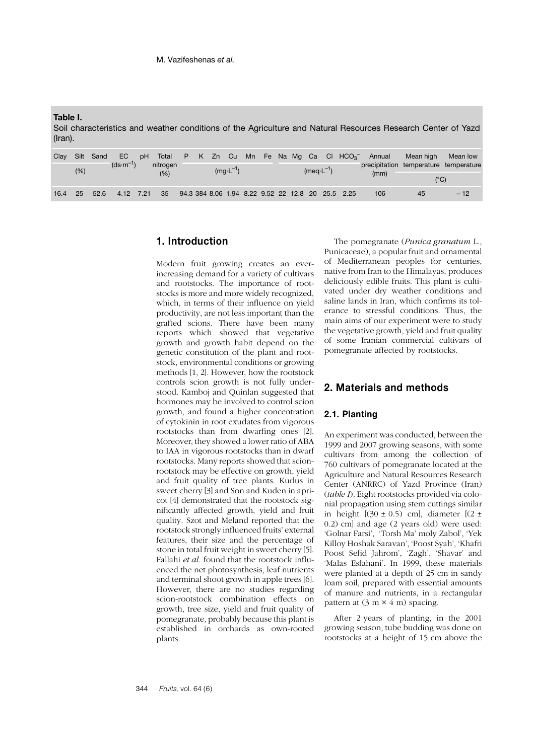**Table I.**

Soil characteristics and weather conditions of the Agriculture and Natural Resources Research Center of Yazd (Iran).

| Clav |      | Silt Sand | EC.        | pH | Total           |  |                     |  |                      |  |      |                                                   | $P$ K Zn Cu Mn Fe Na Mg Ca Cl $HCO_3^-$ Annual | Mean high | Mean low |
|------|------|-----------|------------|----|-----------------|--|---------------------|--|----------------------|--|------|---------------------------------------------------|------------------------------------------------|-----------|----------|
|      | (% ) |           | $(ds·m-1)$ |    | nitrogen<br>(%) |  | $(mq \cdot L^{-1})$ |  | $(meq \cdot L^{-1})$ |  | (mm) |                                                   | precipitation temperature temperature<br>(°C)  |           |          |
| 16.4 | 25   | 52.6      | 4.12 7.21  |    | 35              |  |                     |  |                      |  |      | 94.3 384 8.06 1.94 8.22 9.52 22 12.8 20 25.5 2.25 | 106                                            | 45        | $-12$    |

# **1. Introduction**

Modern fruit growing creates an everincreasing demand for a variety of cultivars and rootstocks. The importance of rootstocks is more and more widely recognized, which, in terms of their influence on yield productivity, are not less important than the grafted scions. There have been many reports which showed that vegetative growth and growth habit depend on the genetic constitution of the plant and rootstock, environmental conditions or growing methods [1, 2]. However, how the rootstock controls scion growth is not fully understood. Kamboj and Quinlan suggested that hormones may be involved to control scion growth, and found a higher concentration of cytokinin in root exudates from vigorous rootstocks than from dwarfing ones [2]. Moreover, they showed a lower ratio of ABA to IAA in vigorous rootstocks than in dwarf rootstocks. Many reports showed that scionrootstock may be effective on growth, yield and fruit quality of tree plants. Kurlus in sweet cherry [3] and Son and Kuden in apricot [4] demonstrated that the rootstock significantly affected growth, yield and fruit quality. Szot and Meland reported that the rootstock strongly influenced fruits' external features, their size and the percentage of stone in total fruit weight in sweet cherry [5]. Fallahi *et al.* found that the rootstock influenced the net photosynthesis, leaf nutrients and terminal shoot growth in apple trees [6]. However, there are no studies regarding scion-rootstock combination effects on growth, tree size, yield and fruit quality of pomegranate, probably because this plant is established in orchards as own-rooted plants.

The pomegranate (*Punica granatum* L., Punicaceae), a popular fruit and ornamental of Mediterranean peoples for centuries, native from Iran to the Himalayas, produces deliciously edible fruits. This plant is cultivated under dry weather conditions and saline lands in Iran, which confirms its tolerance to stressful conditions. Thus, the main aims of our experiment were to study the vegetative growth, yield and fruit quality of some Iranian commercial cultivars of pomegranate affected by rootstocks.

# **2. Materials and methods**

## **2.1. Planting**

An experiment was conducted, between the 1999 and 2007 growing seasons, with some cultivars from among the collection of 760 cultivars of pomegranate located at the Agriculture and Natural Resources Research Center (ANRRC) of Yazd Province (Iran) (*table I*). Eight rootstocks provided via colonial propagation using stem cuttings similar in height  $[(30 \pm 0.5)$  cm], diameter  $[(2 \pm$ 0.2) cm] and age (2 years old) were used: 'Golnar Farsi', 'Torsh Ma' moly Zabol', 'Yek Killoy Hoshak Saravan', 'Poost Syah', 'Khafri Poost Sefid Jahrom', 'Zagh', 'Shavar' and 'Malas Esfahani'. In 1999, these materials were planted at a depth of 25 cm in sandy loam soil, prepared with essential amounts of manure and nutrients, in a rectangular pattern at  $(3 \text{ m} \times 4 \text{ m})$  spacing.

After 2 years of planting, in the 2001 growing season, tube budding was done on rootstocks at a height of 15 cm above the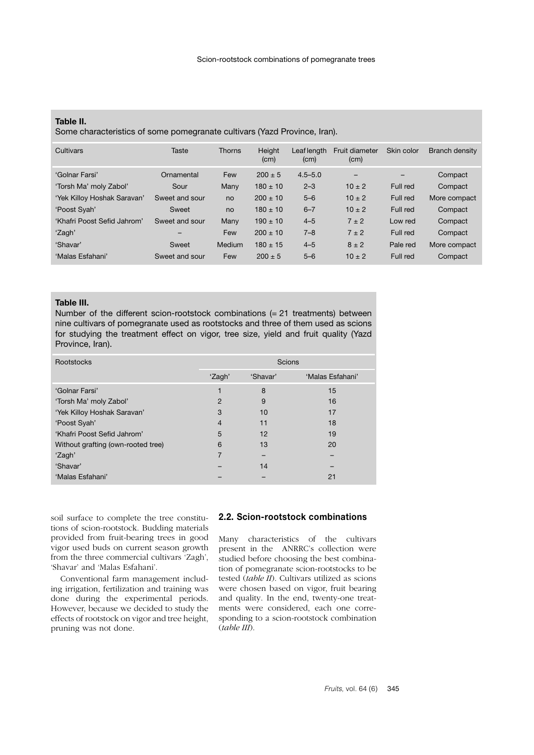## **Table II.**

Some characteristics of some pomegranate cultivars (Yazd Province, Iran).

| Cultivars                   | Taste          | <b>Thorns</b> | Height<br>(cm) | Leaf length<br>(cm) | Fruit diameter<br>(cm) | Skin color | Branch density |
|-----------------------------|----------------|---------------|----------------|---------------------|------------------------|------------|----------------|
| 'Golnar Farsi'              | Ornamental     | Few           | $200 \pm 5$    | $4.5 - 5.0$         | $\qquad \qquad$        |            | Compact        |
| 'Torsh Ma' moly Zabol'      | Sour           | Many          | $180 \pm 10$   | $2 - 3$             | $10 \pm 2$             | Full red   | Compact        |
| 'Yek Killoy Hoshak Saravan' | Sweet and sour | no            | $200 \pm 10$   | $5 - 6$             | $10 \pm 2$             | Full red   | More compact   |
| 'Poost Syah'                | Sweet          | no            | $180 \pm 10$   | $6 - 7$             | $10 \pm 2$             | Full red   | Compact        |
| 'Khafri Poost Sefid Jahrom' | Sweet and sour | Many          | $190 \pm 10$   | $4 - 5$             | $7 \pm 2$              | Low red    | Compact        |
| 'Zagh'                      | -              | Few           | $200 \pm 10$   | $7 - 8$             | $7 \pm 2$              | Full red   | Compact        |
| 'Shavar'                    | Sweet          | Medium        | $180 \pm 15$   | $4 - 5$             | $8 \pm 2$              | Pale red   | More compact   |
| 'Malas Esfahani'            | Sweet and sour | Few           | $200 \pm 5$    | $5 - 6$             | $10 \pm 2$             | Full red   | Compact        |

## **Table III.**

Number of the different scion-rootstock combinations (= 21 treatments) between nine cultivars of pomegranate used as rootstocks and three of them used as scions for studying the treatment effect on vigor, tree size, yield and fruit quality (Yazd Province, Iran).

| Rootstocks                         | Scions         |          |                  |  |  |  |
|------------------------------------|----------------|----------|------------------|--|--|--|
|                                    | 'Zagh'         | 'Shavar' | 'Malas Esfahani' |  |  |  |
| 'Golnar Farsi'                     |                | 8        | 15               |  |  |  |
| 'Torsh Ma' moly Zabol'             | 2              | 9        | 16               |  |  |  |
| 'Yek Killoy Hoshak Saravan'        | 3              | 10       | 17               |  |  |  |
| 'Poost Syah'                       | $\overline{4}$ | 11       | 18               |  |  |  |
| 'Khafri Poost Sefid Jahrom'        | 5              | 12       | 19               |  |  |  |
| Without grafting (own-rooted tree) | 6              | 13       | 20               |  |  |  |
| 'Zagh'                             |                |          |                  |  |  |  |
| 'Shavar'                           |                | 14       |                  |  |  |  |
| 'Malas Esfahani'                   |                |          | 21               |  |  |  |

soil surface to complete the tree constitutions of scion-rootstock. Budding materials provided from fruit-bearing trees in good vigor used buds on current season growth from the three commercial cultivars 'Zagh', 'Shavar' and 'Malas Esfahani'.

Conventional farm management including irrigation, fertilization and training was done during the experimental periods. However, because we decided to study the effects of rootstock on vigor and tree height, pruning was not done.

# **2.2. Scion-rootstock combinations**

Many characteristics of the cultivars present in the ANRRC's collection were studied before choosing the best combination of pomegranate scion-rootstocks to be tested (*table II*). Cultivars utilized as scions were chosen based on vigor, fruit bearing and quality. In the end, twenty-one treatments were considered, each one corresponding to a scion-rootstock combination (*table III*).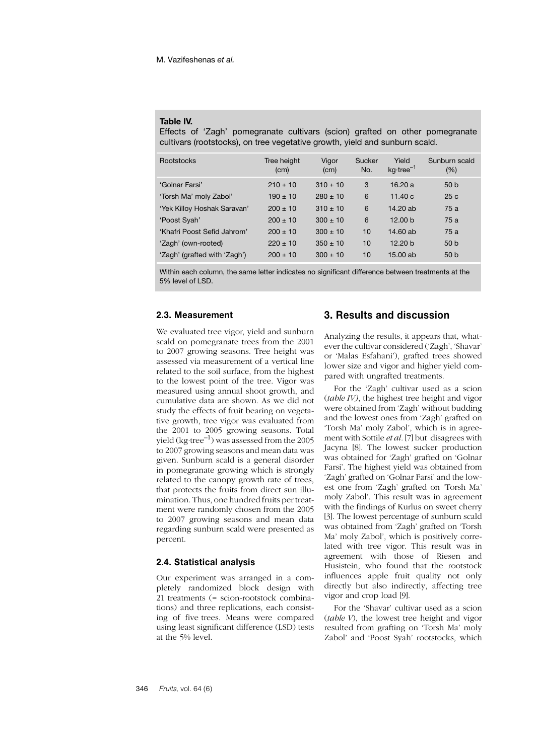#### **Table IV.**

Effects of 'Zagh' pomegranate cultivars (scion) grafted on other pomegranate cultivars (rootstocks), on tree vegetative growth, yield and sunburn scald.

| <b>Rootstocks</b>            | Tree height<br>(cm) | Vigor<br>(cm) | Sucker<br>No. | Yield<br>$kq$ -tree <sup>-1</sup> | Sunburn scald<br>(% ) |
|------------------------------|---------------------|---------------|---------------|-----------------------------------|-----------------------|
| 'Golnar Farsi'               | $210 \pm 10$        | $310 \pm 10$  | 3             | 16.20a                            | 50 <sub>b</sub>       |
| 'Torsh Ma' moly Zabol'       | $190 \pm 10$        | $280 \pm 10$  | 6             | 11.40c                            | 25c                   |
| 'Yek Killoy Hoshak Saravan'  | $200 \pm 10$        | $310 \pm 10$  | 6             | 14.20 ab                          | 75a                   |
| 'Poost Syah'                 | $200 \pm 10$        | $300 \pm 10$  | 6             | 12.00 <sub>b</sub>                | 75a                   |
| 'Khafri Poost Sefid Jahrom'  | $200 \pm 10$        | $300 \pm 10$  | 10            | 14.60 ab                          | 75a                   |
| 'Zagh' (own-rooted)          | $220 \pm 10$        | $350 \pm 10$  | 10            | 12.20 <sub>b</sub>                | 50 <sub>b</sub>       |
| 'Zagh' (grafted with 'Zagh') | $200 + 10$          | $300 \pm 10$  | 10            | 15,00 ab                          | 50 <sub>b</sub>       |

Within each column, the same letter indicates no significant difference between treatments at the 5% level of LSD.

## **2.3. Measurement**

We evaluated tree vigor, yield and sunburn scald on pomegranate trees from the 2001 to 2007 growing seasons. Tree height was assessed via measurement of a vertical line related to the soil surface, from the highest to the lowest point of the tree. Vigor was measured using annual shoot growth, and cumulative data are shown. As we did not study the effects of fruit bearing on vegetative growth, tree vigor was evaluated from the 2001 to 2005 growing seasons. Total yield (kg·tree<sup>-1</sup>) was assessed from the 2005 to 2007 growing seasons and mean data was given. Sunburn scald is a general disorder in pomegranate growing which is strongly related to the canopy growth rate of trees, that protects the fruits from direct sun illumination. Thus, one hundred fruits per treatment were randomly chosen from the 2005 to 2007 growing seasons and mean data regarding sunburn scald were presented as percent.

#### **2.4. Statistical analysis**

Our experiment was arranged in a completely randomized block design with 21 treatments (= scion-rootstock combinations) and three replications, each consisting of five trees. Means were compared using least significant difference (LSD) tests at the 5% level.

## **3. Results and discussion**

Analyzing the results, it appears that, whatever the cultivar considered ('Zagh', 'Shavar' or 'Malas Esfahani'), grafted trees showed lower size and vigor and higher yield compared with ungrafted treatments.

For the 'Zagh' cultivar used as a scion (*table IV)*, the highest tree height and vigor were obtained from 'Zagh' without budding and the lowest ones from 'Zagh' grafted on 'Torsh Ma' moly Zabol', which is in agreement with Sottile *et al.* [7] but disagrees with Jacyna [8]. The lowest sucker production was obtained for 'Zagh' grafted on 'Golnar Farsi'. The highest yield was obtained from 'Zagh' grafted on 'Golnar Farsi' and the lowest one from 'Zagh' grafted on 'Torsh Ma' moly Zabol'. This result was in agreement with the findings of Kurlus on sweet cherry [3]. The lowest percentage of sunburn scald was obtained from 'Zagh' grafted on 'Torsh Ma' moly Zabol', which is positively correlated with tree vigor. This result was in agreement with those of Riesen and Husistein, who found that the rootstock influences apple fruit quality not only directly but also indirectly, affecting tree vigor and crop load [9].

For the 'Shavar' cultivar used as a scion (*table V*), the lowest tree height and vigor resulted from grafting on 'Torsh Ma' moly Zabol' and 'Poost Syah' rootstocks, which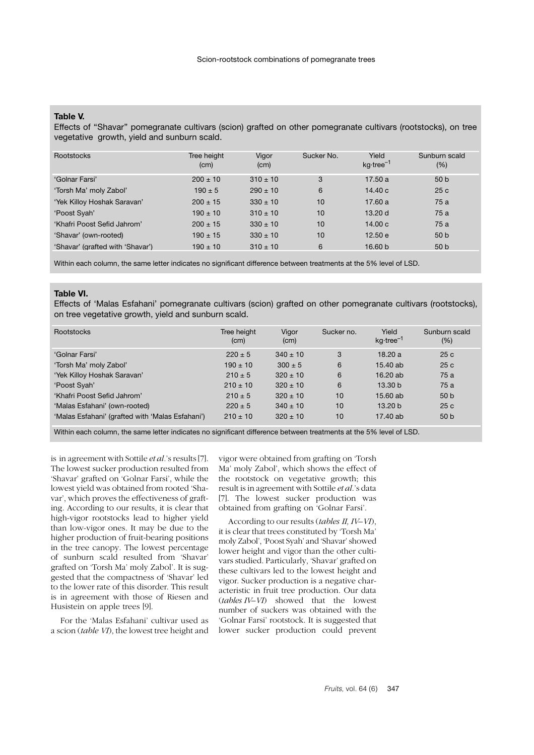# **Table V.**

Effects of ''Shavar'' pomegranate cultivars (scion) grafted on other pomegranate cultivars (rootstocks), on tree vegetative growth, yield and sunburn scald.

| Rootstocks                       | Tree height<br>(cm) | Vigor<br>(cm) | Sucker No. | Yield<br>$kq$ -tree <sup>-1</sup> | Sunburn scald<br>$(\% )$ |
|----------------------------------|---------------------|---------------|------------|-----------------------------------|--------------------------|
| 'Golnar Farsi'                   | $200 \pm 10$        | $310 \pm 10$  | 3          | 17.50a                            | 50 <sub>b</sub>          |
| 'Torsh Ma' moly Zabol'           | $190 \pm 5$         | $290 \pm 10$  | 6          | 14.40c                            | 25c                      |
| 'Yek Killoy Hoshak Saravan'      | $200 \pm 15$        | $330 \pm 10$  | 10         | 17.60a                            | 75a                      |
| 'Poost Syah'                     | $190 \pm 10$        | $310 \pm 10$  | 10         | 13.20d                            | 75a                      |
| 'Khafri Poost Sefid Jahrom'      | $200 \pm 15$        | $330 \pm 10$  | 10         | 14.00c                            | 75a                      |
| 'Shavar' (own-rooted)            | $190 \pm 15$        | $330 \pm 10$  | 10         | 12.50 e                           | 50 <sub>b</sub>          |
| 'Shavar' (grafted with 'Shavar') | $190 \pm 10$        | $310 \pm 10$  | 6          | 16.60 <sub>b</sub>                | 50 <sub>b</sub>          |

Within each column, the same letter indicates no significant difference between treatments at the 5% level of LSD.

#### **Table VI.**

Effects of 'Malas Esfahani' pomegranate cultivars (scion) grafted on other pomegranate cultivars (rootstocks), on tree vegetative growth, yield and sunburn scald.

| <b>Rootstocks</b>                                | Tree height<br>(cm) | Vigor<br>(cm) | Sucker no. | Yield<br>$kq$ -tree <sup>-1</sup> | Sunburn scald<br>$(\% )$ |
|--------------------------------------------------|---------------------|---------------|------------|-----------------------------------|--------------------------|
| 'Golnar Farsi'                                   | $220 \pm 5$         | $340 \pm 10$  | 3          | 18.20a                            | 25c                      |
| 'Torsh Ma' moly Zabol'                           | $190 \pm 10$        | $300 \pm 5$   | 6          | $15.40$ ab                        | 25c                      |
| 'Yek Killoy Hoshak Saravan'                      | $210 \pm 5$         | $320 \pm 10$  | 6          | 16.20ab                           | 75a                      |
| 'Poost Syah'                                     | $210 \pm 10$        | $320 \pm 10$  | 6          | 13.30 <sub>b</sub>                | 75a                      |
| 'Khafri Poost Sefid Jahrom'                      | $210 \pm 5$         | $320 \pm 10$  | 10         | 15.60 ab                          | 50 <sub>b</sub>          |
| 'Malas Esfahani' (own-rooted)                    | $220 \pm 5$         | $340 \pm 10$  | 10         | 13.20 <sub>b</sub>                | 25c                      |
| 'Malas Esfahani' (grafted with 'Malas Esfahani') | $210 + 10$          | $320 \pm 10$  | 10         | 17.40 ab                          | 50 <sub>b</sub>          |

Within each column, the same letter indicates no significant difference between treatments at the 5% level of LSD.

is in agreement with Sottile *et al.*'s results [7]. The lowest sucker production resulted from 'Shavar' grafted on 'Golnar Farsi', while the lowest yield was obtained from rooted 'Shavar', which proves the effectiveness of grafting. According to our results, it is clear that high-vigor rootstocks lead to higher yield than low-vigor ones. It may be due to the higher production of fruit-bearing positions in the tree canopy. The lowest percentage of sunburn scald resulted from 'Shavar' grafted on 'Torsh Ma' moly Zabol'. It is suggested that the compactness of 'Shavar' led to the lower rate of this disorder. This result is in agreement with those of Riesen and Husistein on apple trees [9].

For the 'Malas Esfahani' cultivar used as a scion (*table VI*), the lowest tree height and

vigor were obtained from grafting on 'Torsh Ma' moly Zabol', which shows the effect of the rootstock on vegetative growth; this result is in agreement with Sottile *et al*.'s data [7]. The lowest sucker production was obtained from grafting on 'Golnar Farsi'.

According to our results (*tables II, IV–VI*), it is clear that trees constituted by 'Torsh Ma' moly Zabol', 'Poost Syah' and 'Shavar' showed lower height and vigor than the other cultivars studied. Particularly, 'Shavar' grafted on these cultivars led to the lowest height and vigor. Sucker production is a negative characteristic in fruit tree production. Our data (*tables IV–VI*) showed that the lowest number of suckers was obtained with the 'Golnar Farsi' rootstock. It is suggested that lower sucker production could prevent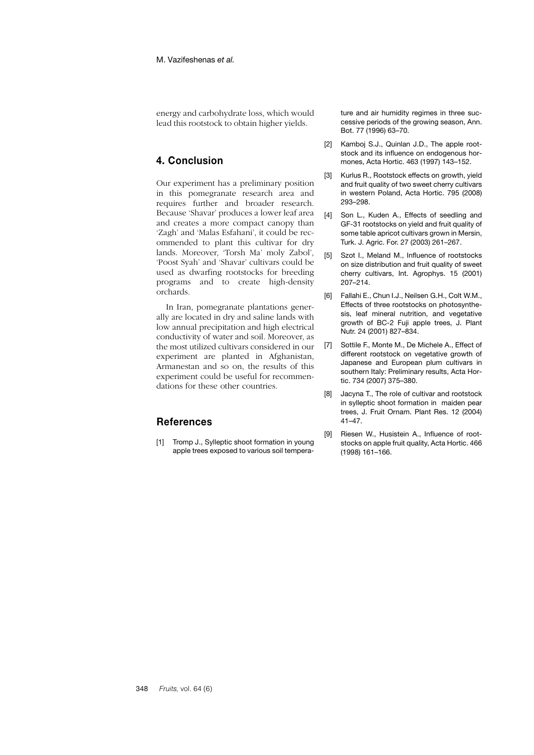energy and carbohydrate loss, which would lead this rootstock to obtain higher yields.

# **4. Conclusion**

Our experiment has a preliminary position in this pomegranate research area and requires further and broader research. Because 'Shavar' produces a lower leaf area and creates a more compact canopy than 'Zagh' and 'Malas Esfahani', it could be recommended to plant this cultivar for dry lands. Moreover, 'Torsh Ma' moly Zabol', 'Poost Syah' and 'Shavar' cultivars could be used as dwarfing rootstocks for breeding programs and to create high-density orchards.

In Iran, pomegranate plantations generally are located in dry and saline lands with low annual precipitation and high electrical conductivity of water and soil. Moreover, as the most utilized cultivars considered in our experiment are planted in Afghanistan, Armanestan and so on, the results of this experiment could be useful for recommendations for these other countries.

# **References**

[1] Tromp J., Sylleptic shoot formation in young apple trees exposed to various soil temperature and air humidity regimes in three successive periods of the growing season, Ann. Bot. 77 (1996) 63–70.

- [2] Kamboj S.J., Quinlan J.D., The apple rootstock and its influence on endogenous hormones, Acta Hortic. 463 (1997) 143–152.
- [3] Kurlus R., Rootstock effects on growth, yield and fruit quality of two sweet cherry cultivars in western Poland, Acta Hortic. 795 (2008) 293–298.
- [4] Son L., Kuden A., Effects of seedling and GF-31 rootstocks on yield and fruit quality of some table apricot cultivars grown in Mersin, Turk. J. Agric. For. 27 (2003) 261–267.
- [5] Szot I., Meland M., Influence of rootstocks on size distribution and fruit quality of sweet cherry cultivars, Int. Agrophys. 15 (2001) 207–214.
- [6] Fallahi E., Chun I.J., Neilsen G.H., Colt W.M., Effects of three rootstocks on photosynthesis, leaf mineral nutrition, and vegetative growth of BC-2 Fuji apple trees, J. Plant Nutr. 24 (2001) 827–834.
- [7] Sottile F., Monte M., De Michele A., Effect of different rootstock on vegetative growth of Japanese and European plum cultivars in southern Italy: Preliminary results, Acta Hortic. 734 (2007) 375–380.
- [8] Jacyna T., The role of cultivar and rootstock in sylleptic shoot formation in maiden pear trees, J. Fruit Ornam. Plant Res. 12 (2004) 41–47.
- [9] Riesen W., Husistein A., Influence of rootstocks on apple fruit quality, Acta Hortic. 466 (1998) 161–166.